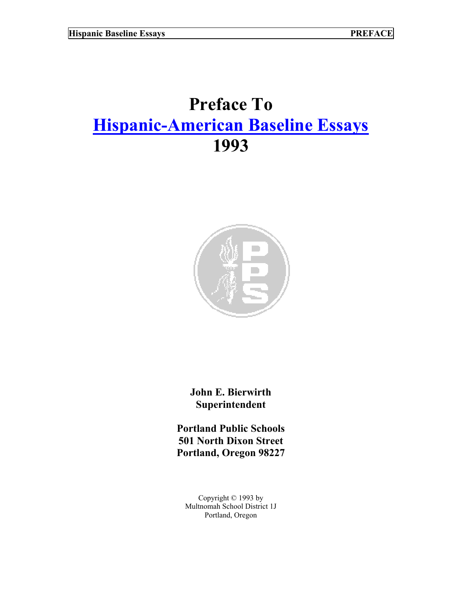## **Preface To [Hispanic-American Baseline Essays](http://www.pps.k12.or.us/district/depts/mc-me/essays.shtml) 1993**



**John E. Bierwirth Superintendent** 

**Portland Public Schools 501 North Dixon Street Portland, Oregon 98227** 

Copyright © 1993 by Multnomah School District 1J Portland, Oregon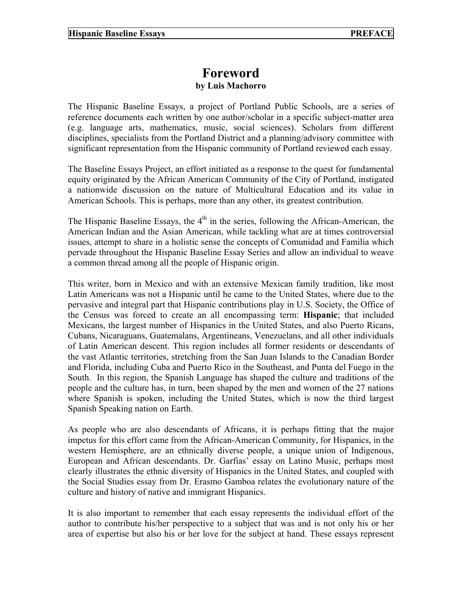## **Foreword**

## **by Luis Machorro**

The Hispanic Baseline Essays, a project of Portland Public Schools, are a series of reference documents each written by one author/scholar in a specific subject-matter area (e.g. language arts, mathematics, music, social sciences). Scholars from different disciplines, specialists from the Portland District and a planning/advisory committee with significant representation from the Hispanic community of Portland reviewed each essay.

The Baseline Essays Project, an effort initiated as a response to the quest for fundamental equity originated by the African American Community of the City of Portland, instigated a nationwide discussion on the nature of Multicultural Education and its value in American Schools. This is perhaps, more than any other, its greatest contribution.

The Hispanic Baseline Essays, the  $4<sup>th</sup>$  in the series, following the African-American, the American Indian and the Asian American, while tackling what are at times controversial issues, attempt to share in a holistic sense the concepts of Comunidad and Familia which pervade throughout the Hispanic Baseline Essay Series and allow an individual to weave a common thread among all the people of Hispanic origin.

This writer, born in Mexico and with an extensive Mexican family tradition, like most Latin Americans was not a Hispanic until he came to the United States, where due to the pervasive and integral part that Hispanic contributions play in U.S. Society, the Office of the Census was forced to create an all encompassing term: **Hispanic**; that included Mexicans, the largest number of Hispanics in the United States, and also Puerto Ricans, Cubans, Nicaraguans, Guatemalans, Argentineans, Venezuelans, and all other individuals of Latin American descent. This region includes all former residents or descendants of the vast Atlantic territories, stretching from the San Juan Islands to the Canadian Border and Florida, including Cuba and Puerto Rico in the Southeast, and Punta del Fuego in the South. In this region, the Spanish Language has shaped the culture and traditions of the people and the culture has, in turn, been shaped by the men and women of the 27 nations where Spanish is spoken, including the United States, which is now the third largest Spanish Speaking nation on Earth.

As people who are also descendants of Africans, it is perhaps fitting that the major impetus for this effort came from the African-American Community, for Hispanics, in the western Hemisphere, are an ethnically diverse people, a unique union of Indigenous, European and African descendants. Dr. Garfias' essay on Latino Music, perhaps most clearly illustrates the ethnic diversity of Hispanics in the United States, and coupled with the Social Studies essay from Dr. Erasmo Gamboa relates the evolutionary nature of the culture and history of native and immigrant Hispanics.

It is also important to remember that each essay represents the individual effort of the author to contribute his/her perspective to a subject that was and is not only his or her area of expertise but also his or her love for the subject at hand. These essays represent